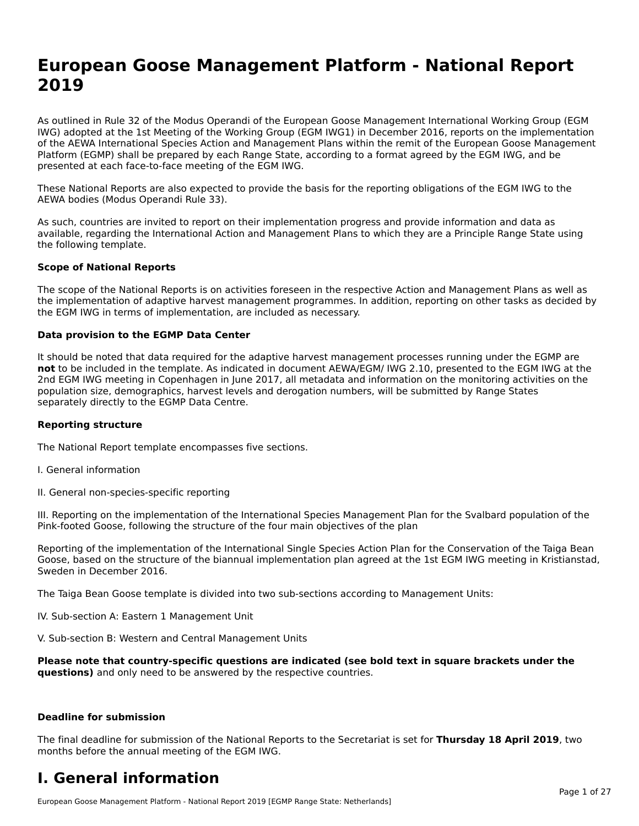# **European Goose Management Platform - National Report**European Goose Management Platform - National **Neport**<br>2010

As outlined in Rule 32 of the Modus Operandi of the European Goose Management International Working Group (EGM As buthled in Rule 32 of the Modus Operandi of the Lufopean Goose Management International Working Group (LGM<br>IWG) adopted at the 1st Meeting of the Working Group (EGM IWG1) in December 2016, reports on the implementation of the AEWA International Species Action and Management Plans within the remit of the European Goose Management Platform (EGMP) shall be prepared by each Range State, according to a format agreed by the EGM IWG, and be presented at each face-to-face meeting of the EGM IWG.

These National Reports are also expected to provide the basis for the reporting obligations of the EGM IWG to the AEWA bodies (Modus Operandi Rule 33).

As such, countries are invited to report on their implementation progress and provide information and data as<br>available, regarding the International Action and Management Plans to which they are a Principle Range State usi available, regarding the International Action and Management Plans to which they are a Principle Range State using the following template.

#### **Scope of National Reports**

The scope of the National Reports is on activities foreseen in the respective Action and Management Plans as well as The scope of the National Reports is on activities foreseen in the respective Action and Management Plans as well as<br>the implementation of adaptive harvest management programmes. In addition, reporting on other tasks as de the EGM IWG in terms of implementation, are included as necessary.

#### **Data provision to the EGMP Data Center**

It should be noted that data required for the adaptive harvest management processes running under the EGMP are **not** to be included in the template. As indicated in document AEWA/EGM/ IWG 2.10, presented to the EGM IWG at the 2nd EGM IWG meeting in Copenhagen in June 2017, all metadata and information on the monitoring activities on the population size, demographics, harvest levels and derogation numbers, will be submitted by Range States separately directly to the EGMP Data Centre.

#### **Reporting structure**

The National Report template encompasses five sections.

- I. General information
- II. General non-species-specific reporting

III. Reporting on the implementation of the International Species Management Plan for the Svalbard population of the

Reporting of the implementation of the International Single Species Action Plan for the Conservation of the Taiga Bean Reporting of the implementation of the international single species Action Fram for the conservation of the laiga beam<br>Goose, based on the structure of the biannual implementation plan agreed at the 1st EGM IWG meeting in

The Taiga Bean Goose template is divided into two sub-sections according to Management Units:

IV. Sub-section A: Eastern 1 Management Unit

V. Sub-section B: Western and Central Management Units

Please note that country-specific questions are indicated (see bold text in square brackets under the **questions)** and only need to be answered by the respective countries.

#### **Deadline for submission**

The final deadline for submission of the National Reports to the Secretariat is set for **Thursday 18 April 2019**, two months before the annual meeting of the EGM IWG.

## **I. General information**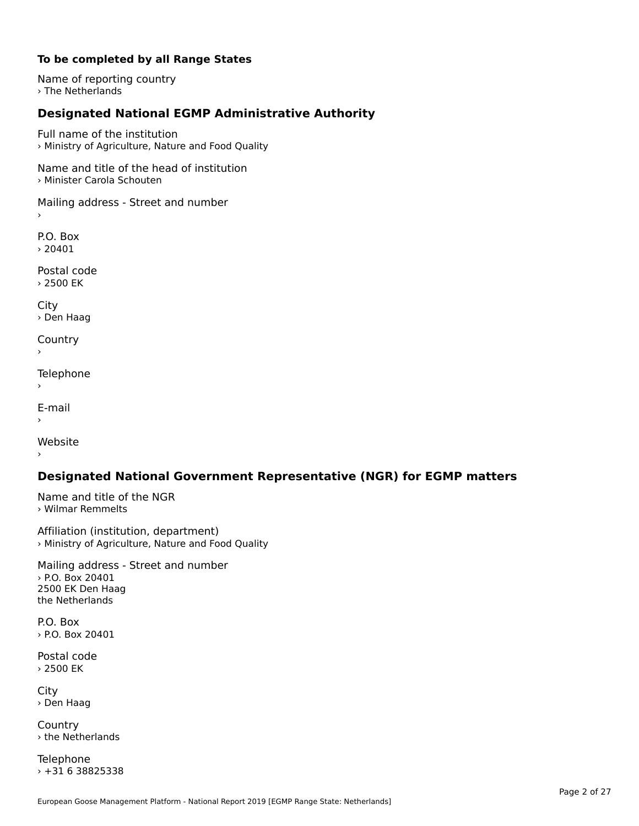## **To be completed by all Range States**

Name of reporting country › The Netherlands

# **Designated National EGMP Administrative Authority**

Full name of the institution › Ministry of Agriculture, Nature and Food Quality

Name and title of the head of institution› Minister Carola Schouten

Mailing address - Street and number

P.O. Box › 20401

Postal code› 2500 EK

City › Den Haag

**Country** 

Telephone

E-mail

›

website<br>Website ›

## **Designated National Government Representative (NGR) for EGMP matters**

Name and title of the NGR › Wilmar Remmelts

Affiliation (institution, department) › Ministry of Agriculture, Nature and Food Quality

Mailing address - Street and number › P.O. Box 20401 2500 EK Den Haag the Netherlands

P.O. Box $\rightarrow$  P.O. Box 20401

Postal code› 2500 EK

City › Den Haag

**Country** › the Netherlands

**Telephone** › +31 6 38825338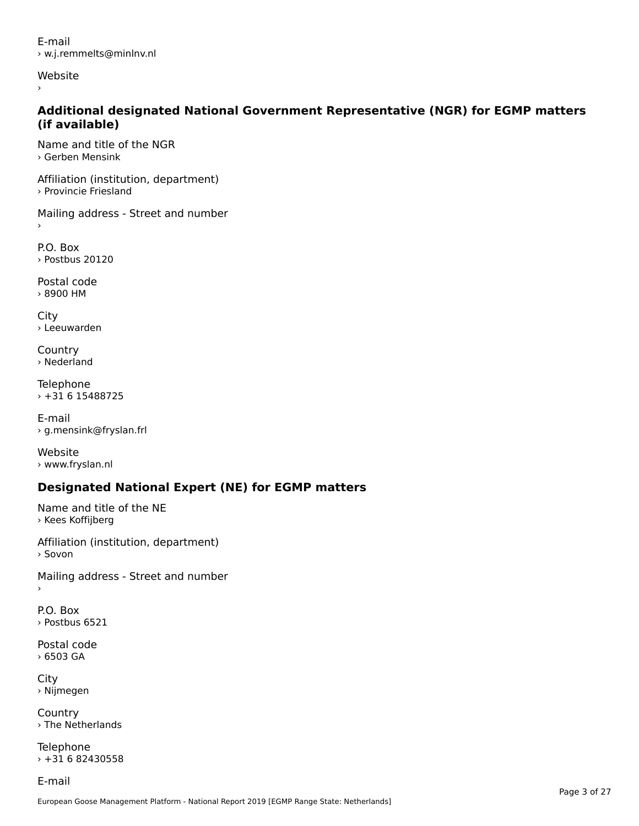E-mail› w.j.remmelts@minlnv.nl

Website

## **Additional designated National Government Representative (NGR) for EGMP matters (if available)**

Name and title of the NGR› Gerben Mensink

Affiliation (institution, department) › Provincie Friesland

Mailing address - Street and number ›

P.O. Box › Postbus 20120

Postal code› 8900 HM

City › Leeuwarden

**Country** › Nederland

Telephone › +31 6 15488725

E-mail › g.mensink@fryslan.frl

Website › www.fryslan.nl

## **Designated National Expert (NE) for EGMP matters**

Name and title of the NE › Kees Koffijberg

Affiliation (institution, department) › Sovon

Mailing address - Street and number

P.O. Box› Postbus 6521

Postal code› 6503 GA

City › Nijmegen

**Country** › The Netherlands

Telephone  $+31682430558$ 

E-mail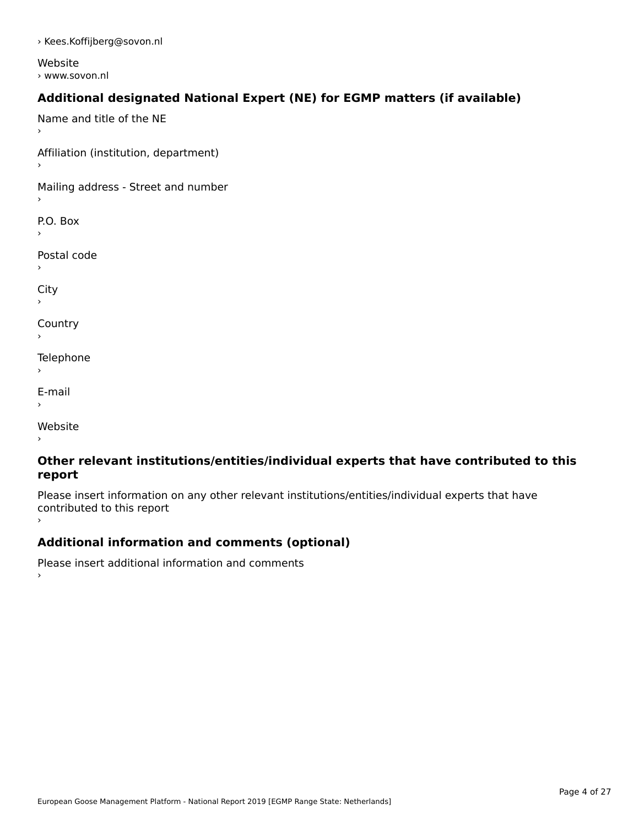› Kees.Koffijberg@sovon.nl

Website › www.sovon.nl

# **Additional designated National Expert (NE) for EGMP matters (if available)**

Name and title of the NE›Affiliation (institution, department) Mailing address - Street and number P.O. Box Postal code› $\mathbf{C}^{\text{th}}$ ›**Country** Telephone E-mail›website<br>Website ›

## **Other relevant institutions/entities/individual experts that have contributed to this report**report

Please insert information on any other relevant institutions/entities/individual experts that have riease insert information<br>contributed to this report ›

# **Additional information and comments (optional)**

Please insert additional information and comments ›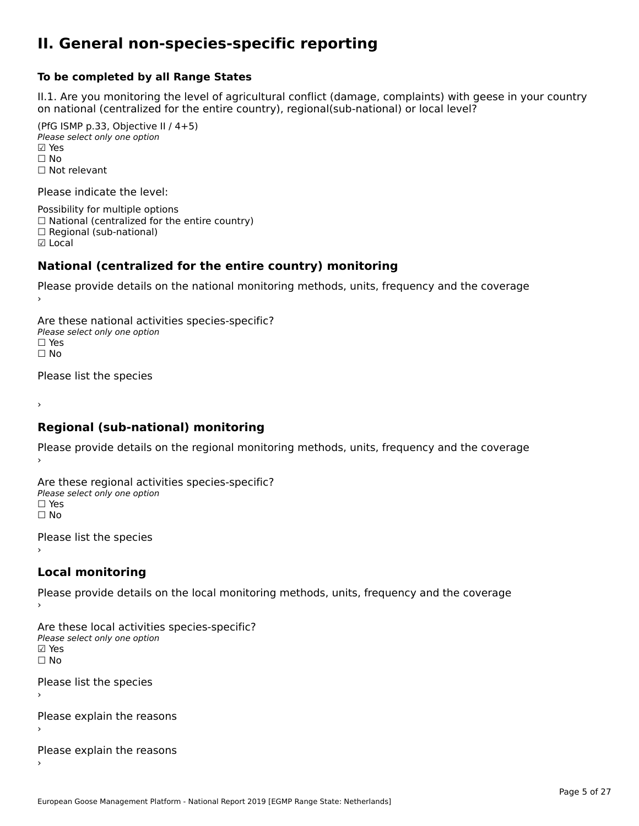## **II. General non-species-specific reporting**

#### **To be completed by all Range States**

II.1. Are you monitoring the level of agricultural conflict (damage, complaints) with geese in your country n.i. Are you monitoring the lever or agricultural connict (damage, complaints) with g<br>on national (centralized for the entire country), regional(sub-national) or local level?

(PfG ISMP p.33, Objective II  $(4+5)$ ) Please select only one option ☑ Yes**☑ Yes**<br>□ No □ No<br>□ Not relevant

Please indicate the level:

Possibility for multiple options  $\Box$  National (centralized for the entire country)  $\Box$  Regional (sub-national) ☑ Local

#### **National (centralized for the entire country) monitoring**

Please provide details on the national monitoring methods, units, frequency and the coverage

Are these national activities species-specific? Please select only one optionPlease select only one option<br>□ Yes ים וכ<br>⊡ No

Please list the species

›

#### **Regional (sub-national) monitoring**

Please provide details on the regional monitoring methods, units, frequency and the coverage

Are these regional activities species-specific? ∩ne these regional activ<br>Please select only one option □ Yes<br>□ No

Please list the species ›

## **Local monitoring**

Please provide details on the local monitoring methods, units, frequency and the coverage

Are these local activities species-specific? Please select only one optionriease<br>□ Yes ⊠ Yes<br>□ No

Please list the species ›

Please explain the reasons

Please explain the reasons ›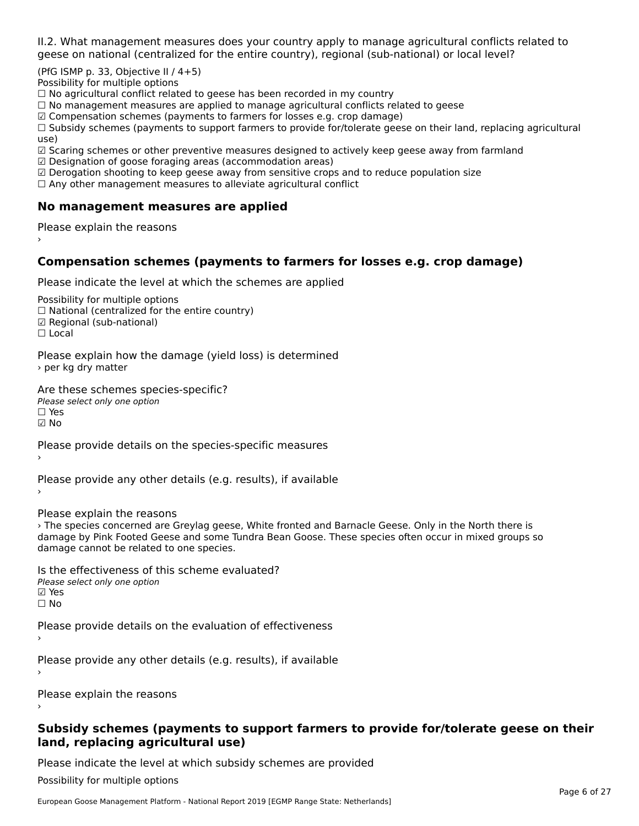II.2. What management measures does your country apply to manage agricultural conflicts related to

(PfG ISMP p. 33, Objective II  $/$  4+5)

Possibility for multiple options

™assibility for maltiple options<br>□ No agricultural conflict related to geese has been recorded in my country

 $\Box$  No management measures are applied to manage agricultural conflicts related to geese

☑ Compensation schemes (payments to farmers for losses e.g. crop damage)

a compensation schemes (payments to familers for losses e.g. crop damage)<br>[1] Subsidy schemes (payments to support farmers to provide for/tolerate geese on their land, replacing agricultural use)

use)<br>☑ Scaring schemes or other preventive measures designed to actively keep geese away from farmland

 $\boxtimes$  Designation of goose foraging areas (accommodation areas)

□ Designation of goose foraging areas (accommodation areas)<br>□ Derogation shooting to keep geese away from sensitive crops and to reduce population size

 $\Box$  Any other management measures to alleviate agricultural conflict

## **No management measures are applied**

Please explain the reasons ›

## **Compensation schemes (payments to farmers for losses e.g. crop damage)**

Please indicate the level at which the schemes are applied

Possibility for multiple options rossibility for multiple options<br>□ National (centralized for the entire country) □ National (centralized io<br>☑ Regional (sub-national) ⊠ Regio<br>□ Local

Please explain how the damage (yield loss) is determined › per kg dry matter

Are these schemes species-specific?∩ne these senemes spe<br>Please select only one option ☑ No

Please provide details on the species-specific measures

Please provide any other details (e.g. results), if available

Please explain the reasons

› The species concerned are Greylag geese, White fronted and Barnacle Geese. Only in the North there is damage by Pink Footed Geese and some Tundra Bean Goose. These species often occur in mixed groups so damage cannot be related to one species.

Is the effectiveness of this scheme evaluated?□ the cheenveness of t<br>Please select only one option ⊠ Yes ☐ No

Please provide details on the evaluation of effectiveness

Please provide any other details (e.g. results), if available

Please explain the reasons

## **Subsidy schemes (payments to support farmers to provide for/tolerate geese on their land, replacing agricultural use)**land, replacing agricultural use)

Please indicate the level at which subsidy schemes are provided

Possibility for multiple options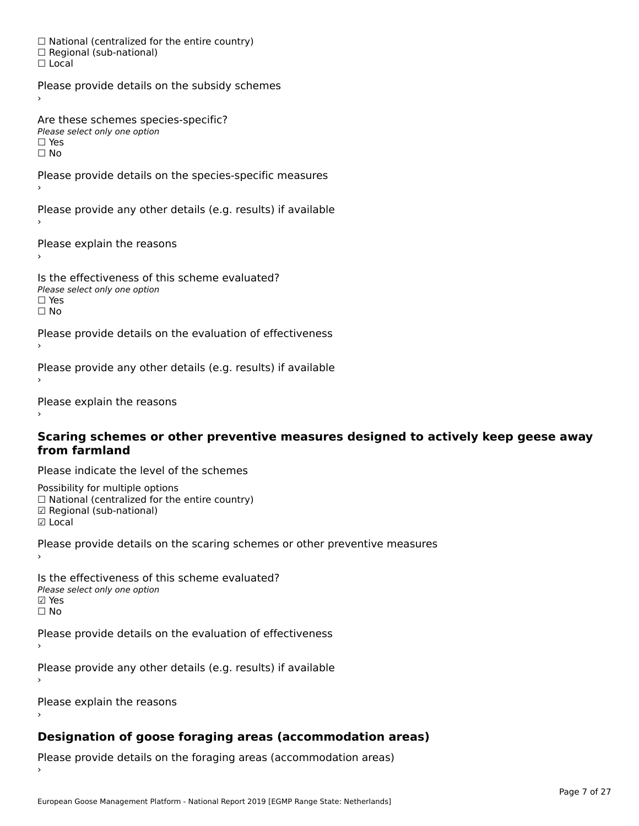☐ National (centralized for the entire country) □ National (centralized io<br>□ Regional (sub-national) ☐ Local

Please provide details on the subsidy schemes

Are these schemes species-specific?∩ne these senemes spee<br>Please select only one option

□ Yes<br>□ No

Please provide details on the species-specific measures

Please provide any other details (e.g. results) if available

Please explain the reasons

Is the effectiveness of this scheme evaluated?Please select only one option ☐ Yesים וכ<br>⊡ No

Please provide details on the evaluation of effectiveness

Please provide any other details (e.g. results) if available

Please explain the reasons

## **Scaring schemes or other preventive measures designed to actively keep geese away from farmland**

Please indicate the level of the schemes

Possibility for multiple options rossibility for multiple options<br>□ National (centralized for the entire country) ☑ Regional (sub-national) ☑ Local**☑** Local

Please provide details on the scaring schemes or other preventive measures

Is the effectiveness of this scheme evaluated?□ CHECONCHESS OF C<br>Please select only one option **☑ Yes**<br>□ No

Please provide details on the evaluation of effectiveness

Please provide any other details (e.g. results) if available

Please explain the reasons›

# **Designation of goose foraging areas (accommodation areas)**

Please provide details on the foraging areas (accommodation areas)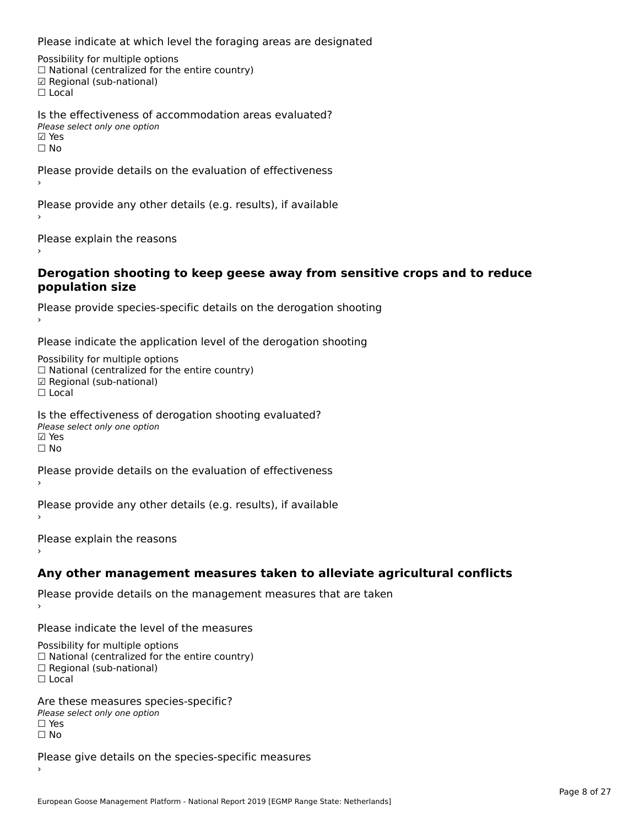Please indicate at which level the foraging areas are designated

Possibility for multiple options rossibility for multiple options<br>□ National (centralized for the entire country) □ Rational (centralized io<br>☑ Regional (sub-national)

Is the effectiveness of accommodation areas evaluated?Please select only one option ☑ Yes☐ No

Please provide details on the evaluation of effectiveness

Please provide any other details (e.g. results), if available

Please explain the reasons

## **Derogation shooting to keep geese away from sensitive crops and to reduce population size**population size

Please provide species-specific details on the derogation shooting ›

Please indicate the application level of the derogation shooting

Possibility for multiple options rossibility for multiple options<br>□ National (centralized for the entire country) □ National (centralized io<br>☑ Regional (sub-national)

⊠ Regio<br>□ Local

Is the effectiveness of derogation shooting evaluated?

Please select only one option

☑ Yesים וים<br>⊡ No

Please provide details on the evaluation of effectiveness

Please provide any other details (e.g. results), if available

Please explain the reasons

## **Any other management measures taken to alleviate agricultural conflicts**

Please provide details on the management measures that are taken

Please indicate the level of the measures

Possibility for multiple options

™assibility for multiple options<br>□ National (centralized for the entire country) □ National (centralized io<br>□ Regional (sub-national)

☐ Local

Are these measures species-specific?Please select only one option*riease*<br>□ Yes ים וכ∍<br>⊡ No

Please give details on the species-specific measures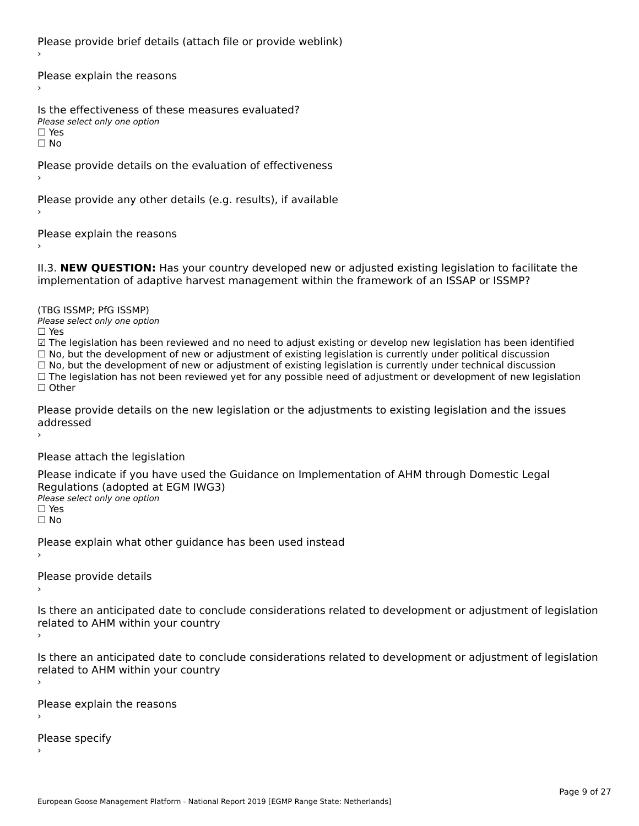Please provide brief details (attach file or provide weblink)

Please explain the reasons›

Is the effectiveness of these measures evaluated?Please select only one option☐ Yesים וכ∍<br>⊡ No

Please provide details on the evaluation of effectiveness

Please provide any other details (e.g. results), if available

Please explain the reasons›

II.3. **NEW QUESTION:** Has your country developed new or adjusted existing legislation to facilitate the

(TBG ISSMP; PfG ISSMP) Please select only one option ☐ Yes

☑ The legislation has been reviewed and no need to adjust existing or develop new legislation has been identified □ No, but the development of new or adjustment of existing or development regislation is been identified at the development of new or adjustment of existing legislation is currently under political discussion  $\Box$  No, but the development of new or adjustment of existing legislation is currently under technical discussion □ No, but the development of hew or adjustment of existing regislation is currently under technical discussion<br>□ The legislation has not been reviewed yet for any possible need of adjustment or development of new legislat

Please provide details on the new legislation or the adjustments to existing legislation and the issues riease piu<br>seddressed ›

Please attach the legislation

Please indicate if you have used the Guidance on Implementation of AHM through Domestic Legal Piease indicate if you have used the<br>Regulations (adopted at EGM IWG3) Please select only one option ☐ Yes☐ No

Please explain what other guidance has been used instead

Please provide details

Is there an anticipated date to conclude considerations related to development or adjustment of legislation Proced to Arm within your country

Is there an anticipated date to conclude considerations related to development or adjustment of legislation is there are anticrpated date to control<br>related to AHM within your country

Please explain the reasons

Please specify›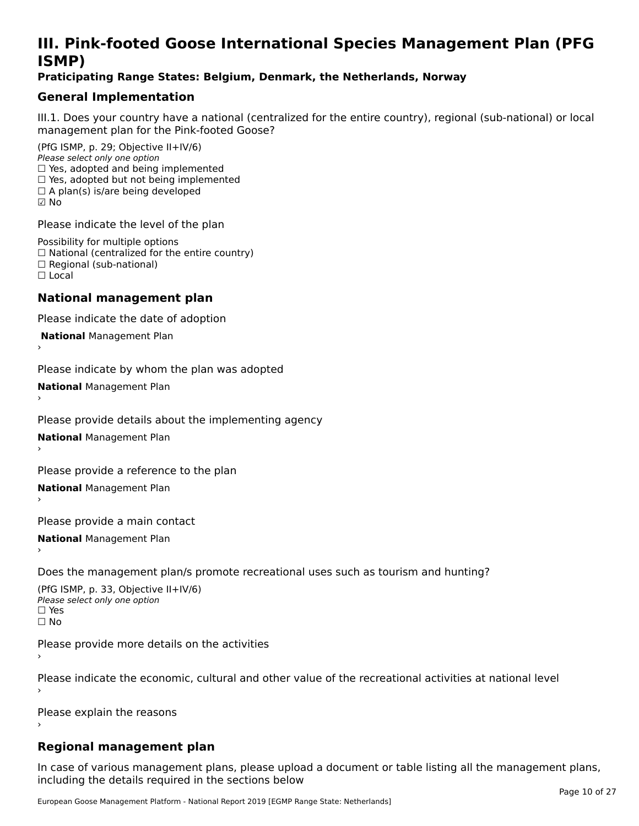# **III. Pink-footed Goose International Species Management Plan (PFG**III. FIIIN-IUULEU GUUSE IIILEI II**atiunai Species Management Fian (FTG**<br>ISMD)

## **Praticipating Range States: Belgium, Denmark, the Netherlands, Norway**

## **General Implementation**

III.1. Does your country have a national (centralized for the entire country), regional (sub-national) or local

(PfG ISMP, p. 29; Objective II+IV/6) Please select only one option *riease select only one option*<br>□ Yes, adopted and being implemented  $\Box$  ies, adopted and being implemented<br> $\Box$  Yes, adopted but not being implemented  $\Box$  A plan(s) is/are being developed ☑ No

Please indicate the level of the plan

Possibility for multiple options rossibility for multiple options<br>□ National (centralized for the entire country) □ National (centralized io<br>□ Regional (sub-national) ☐ Local

#### **National management plan**

Please indicate the date of adoption

 **National** Management Plan

›

Please indicate by whom the plan was adopted

**National** Management Plan ›

Please provide details about the implementing agency

**National** Management Plan ›

Please provide a reference to the plan

**National** Management Plan ›

Please provide a main contact

**National** Management Plan ›

Does the management plan/s promote recreational uses such as tourism and hunting?

(PfG ISMP, p. 33, Objective II+IV/6) Please select only one optionPlease select only one option  $\square$  Yes ☐ No

Please provide more details on the activities

Please indicate the economic, cultural and other value of the recreational activities at national level

Please explain the reasons

## **Regional management plan**

In case of various management plans, please upload a document or table listing all the management plans, $\frac{1}{2}$  case of various management plans, please uploa including the details required in the sections below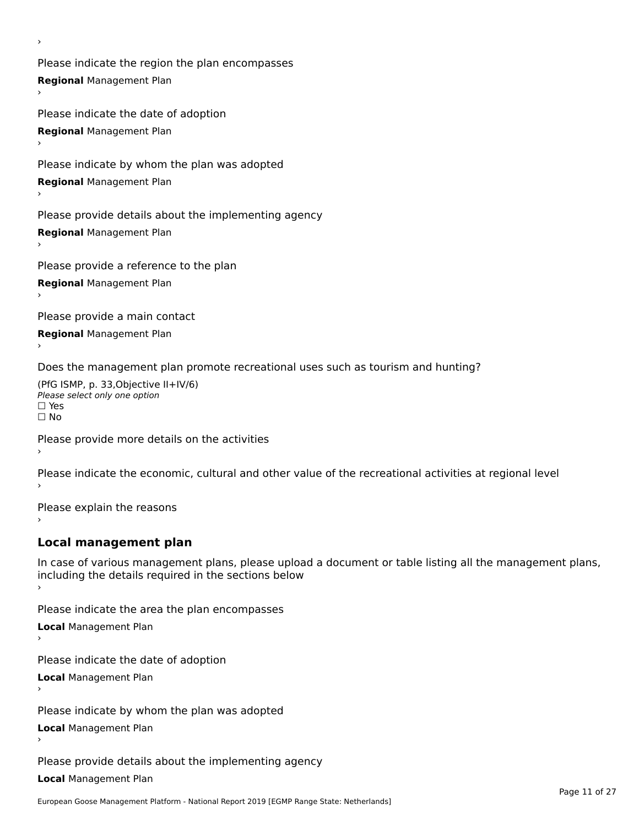Please indicate the region the plan encompasses **Regional** Management Plan

Please indicate the date of adoption **Regional** Management Plan ›

Please indicate by whom the plan was adopted

**Regional** Management Plan

›

Please provide details about the implementing agency

**Regional** Management Plan

Please provide a reference to the plan

**Regional** Management Plan

Please provide a main contact

**Regional** Management Plan

Does the management plan promote recreational uses such as tourism and hunting?

(PfG ISMP, p. 33,Objective II+IV/6) ∩∩ וויוכו פון<br>Please select only one option<br>□ Yes □ Yes<br>□ No

Please provide more details on the activities

Please indicate the economic, cultural and other value of the recreational activities at regional level

Please explain the reasons ›

## **Local management plan**

In case of various management plans, please upload a document or table listing all the management plans, In case of various management plans, please uploa<br>including the details required in the sections below

Please indicate the area the plan encompasses

**Local** Management Plan

Please indicate the date of adoption

**Local** Management Plan›

Please indicate by whom the plan was adopted

**Local** Management Plan

Please provide details about the implementing agency

**Local** Management Plan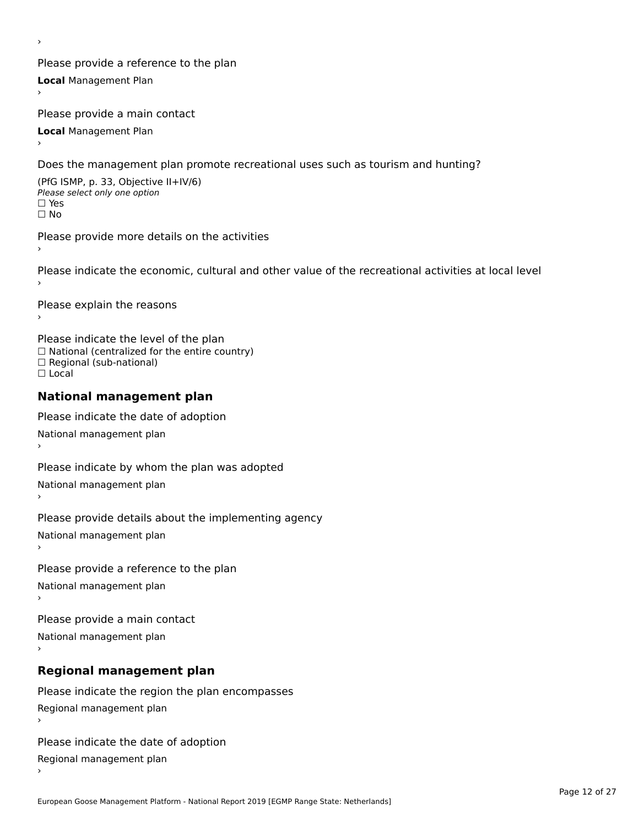Please provide a reference to the plan **Local** Management Plan

Please provide a main contact

**Local** Management Plan

›

Does the management plan promote recreational uses such as tourism and hunting?

(PfG ISMP, p. 33, Objective II+IV/6) Please select only one option☐ Yes☐ No

Please provide more details on the activities›

Please indicate the economic, cultural and other value of the recreational activities at local level

Please explain the reasons ›

Please indicate the level of the plan ∩ease marcate the lever of the plan<br>□ National (centralized for the entire country) □ National (centralized io<br>□ Regional (sub-national) ☐ Local

#### **National management plan**

Please indicate the date of adoption National management plan

Please indicate by whom the plan was adopted National management plan ›

Please provide details about the implementing agency

National management plan

Please provide a reference to the plan

National management plan

Please provide a main contact

National management plan

# **Regional management plan**

Please indicate the region the plan encompasses Regional management plan

Please indicate the date of adoption

Regional management plan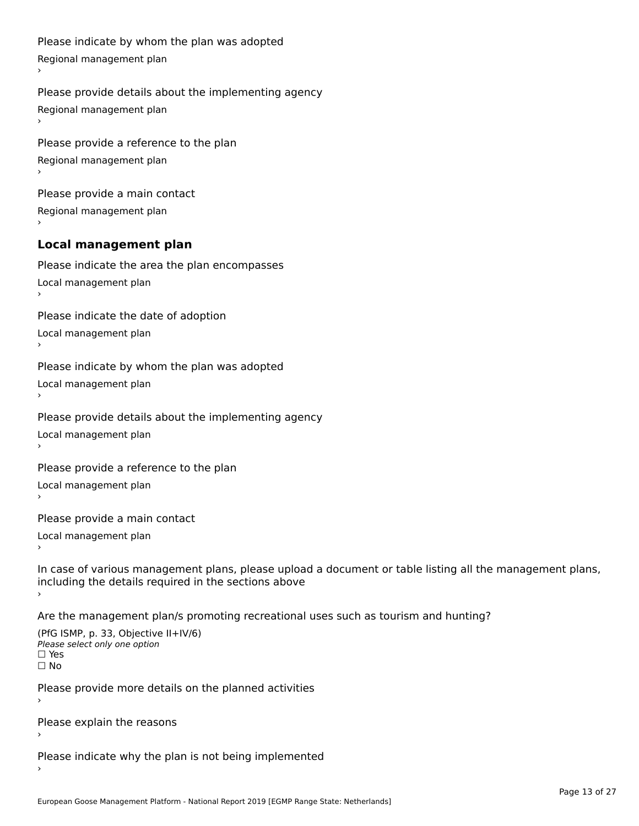```
Please indicate by whom the plan was adopted Regional management plan
Please provide details about the implementing agency Regional management plan
Please provide a reference to the plan Regional management plan
Please provide a main contact Regional management plan
Local management plan
Please indicate the area the plan encompasses Local management plan›Please indicate the date of adoption Local management plan١,
Please indicate by whom the plan was adopted Local management plan›Please provide details about the implementing agency Local management plan١,
Please provide a reference to the plan Local management plan›Please provide a main contact Local management plan١,
In case of various management plans, please upload a document or table listing all the management plans,in case or various management plans, please upload
including the details required in the sections above
Are the management plan/s promoting recreational uses such as tourism and hunting?
```
(PfG ISMP, p. 33, Objective II+IV/6) Please select only one option☐ Yes☐ No

Please provide more details on the planned activities

Please explain the reasons›

Please indicate why the plan is not being implemented›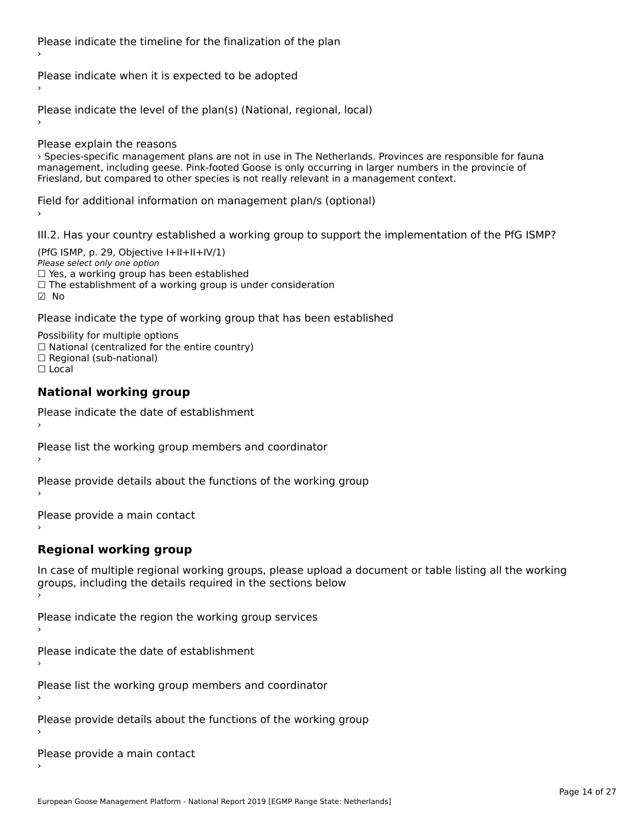Please indicate the timeline for the finalization of the plan

Please indicate when it is expected to be adopted

Please indicate the level of the plan(s) (National, regional, local)

Please explain the reasons

› Species-specific management plans are not in use in The Netherlands. Provinces are responsible for fauna Process-specific management pians are not in use in the Necherlands. Frovinces are responsible for rational process are responsible for rational process are responsible for rational process. Friesland, but compared to other species is not really relevant in a management context.

Field for additional information on management plan/s (optional)

III.2. Has your country established a working group to support the implementation of the PfG ISMP?

(PfG ISMP, p. 29, Objective I+II+II+IV/1)Please select only one option □ Yes, a working group has been established ☐ The establishment of a working group is under consideration ☑ No

Please indicate the type of working group that has been established

Possibility for multiple options rossibility for multiple options<br>□ National (centralized for the entire country) □ Regional (sub-national)

☐ Local

#### **National working group**

Please indicate the date of establishment›

Please list the working group members and coordinator ›

Please provide details about the functions of the working group ›

Please provide a main contact ›

## **Regional working group**

In case of multiple regional working groups, please upload a document or table listing all the working groups, including the details required in the sections below

Please indicate the region the working group services ›

Please indicate the date of establishment ›

Please list the working group members and coordinator ›

Please provide details about the functions of the working group ›

Please provide a main contact ›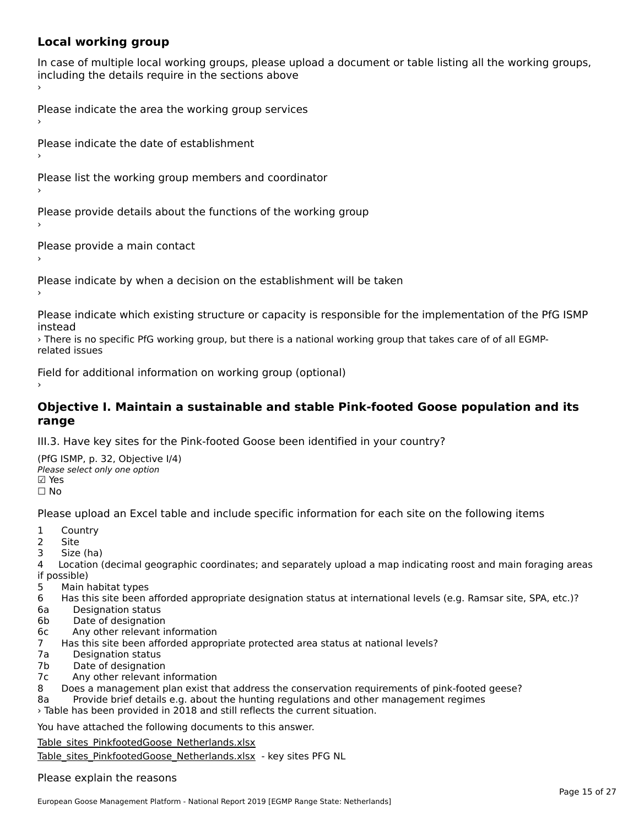# **Local working group**

In case of multiple local working groups, please upload a document or table listing all the working groups, in case of multiple local working groups, please up ›

Please indicate the area the working group services ›

Please indicate the date of establishment ›

Please list the working group members and coordinator ›

Please provide details about the functions of the working group ›

Please provide a main contact ›

Please indicate by when a decision on the establishment will be taken

Please indicate which existing structure or capacity is responsible for the implementation of the PfG ISMP

› There is no specific PfG working group, but there is a national working group that takes care of of all EGMPrelated issues

Field for additional information on working group (optional)

## **Objective I. Maintain a sustainable and stable Pink-footed Goose population and its range**range

III.3. Have key sites for the Pink-footed Goose been identified in your country?

(PfG ISMP, p. 32, Objective I/4) יייכו סיווי, p: אב, סטןככנוע<br>Please select only one option **☑ Yes**<br>□ No

Please upload an Excel table and include specific information for each site on the following items

- $1 \quad \alpha$
- $\frac{1}{2}$  COUI
- 2 Site<br>3 Size (ha)

4 Location (decimal geographic coordinates; and separately upload a map indicating roost and main foraging areas 4 Locatio<br>if possible)

- 5 Main habitat types
- 6 Has this site been afforded appropriate designation status at international levels (e.g. Ramsar site, SPA, etc.)? 6a Designation status
- 6a Designation status<br>6b Date of designation
- 
- 6c Any other relevant information
- 7 Has this site been afforded appropriate protected area status at national levels? 7a Designation status
- 7a Designation status<br>7b Date of designation
- 
- 7c Any other relevant information
- 8 Does a management plan exist that address the conservation requirements of pink-footed geese?
- 8a Provide brief details e.g. about the hunting regulations and other management regimes
- › Table has been provided in 2018 and still reflects the current situation.

You have attached the following documents to this answer.

Table\_sites\_PinkfootedGoose\_Netherlands.xlsx

[Table\\_sites\\_PinkfootedGoose\\_Netherlands.xlsx](http://aewa-ort.ort-production.linode.unep-wcmc.org/answers/2656360/documents/1575) - key sites PFG NL

## Please explain the reasons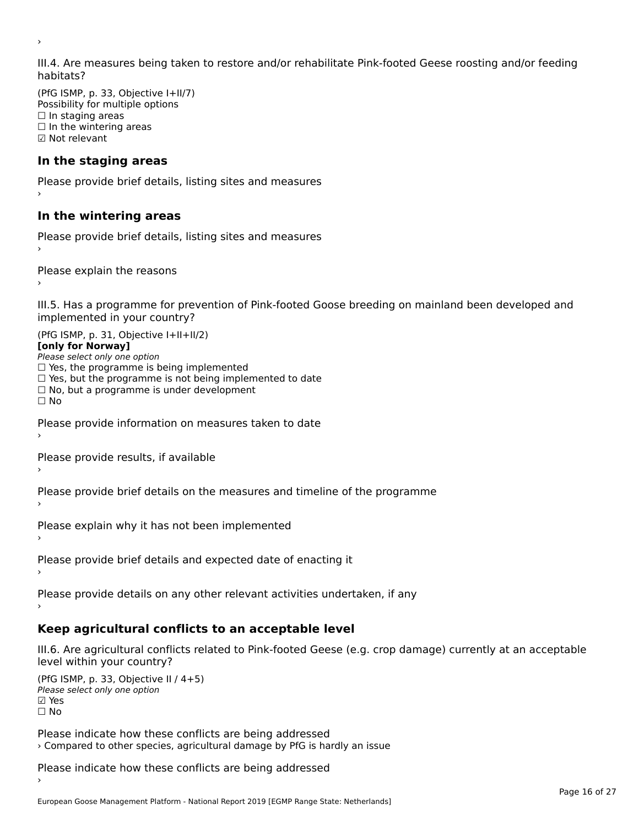III.4. Are measures being taken to restore and/or rehabilitate Pink-footed Geese roosting and/or feeding habitats?

(PfG ISMP, p. 33, Objective I+II/7) Possibility for multiple options rossiomey for mule<br>□ In staging areas □ in staging areas<br>□ In the wintering areas ☑ Not relevant

# **In the staging areas**

Please provide brief details, listing sites and measures ›

#### **In the wintering areas**

Please provide brief details, listing sites and measures ›

Please explain the reasons

›

III.5. Has a programme for prevention of Pink-footed Goose breeding on mainland been developed and implemented in your country?

 $(PC I CMP, p. 31, Ok)$ **[only for Norway]**

#### [only for Norway]

**Polly for Norway,**<br>Please select only one option riease select only one option<br>□ Yes, the programme is being implemented  $\Box$  ies, the programme is being implemented to date  $\Box$  Yes, but the programme is not being implemented to date

 $\Box$  No, but a programme is under development

Please provide information on measures taken to date

Please provide results, if available

Please provide brief details on the measures and timeline of the programme

Please explain why it has not been implemented

Please provide brief details and expected date of enacting it

Please provide details on any other relevant activities undertaken, if any›

# **Keep agricultural conflicts to an acceptable level**

III.6. Are agricultural conflicts related to Pink-footed Geese (e.g. crop damage) currently at an acceptable

(PfG ISMP, p. 33, Objective II  $(4+5)$ ) Please select only one option ☑ Yes☐ No

Please indicate how these conflicts are being addressed › Compared to other species, agricultural damage by PfG is hardly an issue

Please indicate how these conflicts are being addressed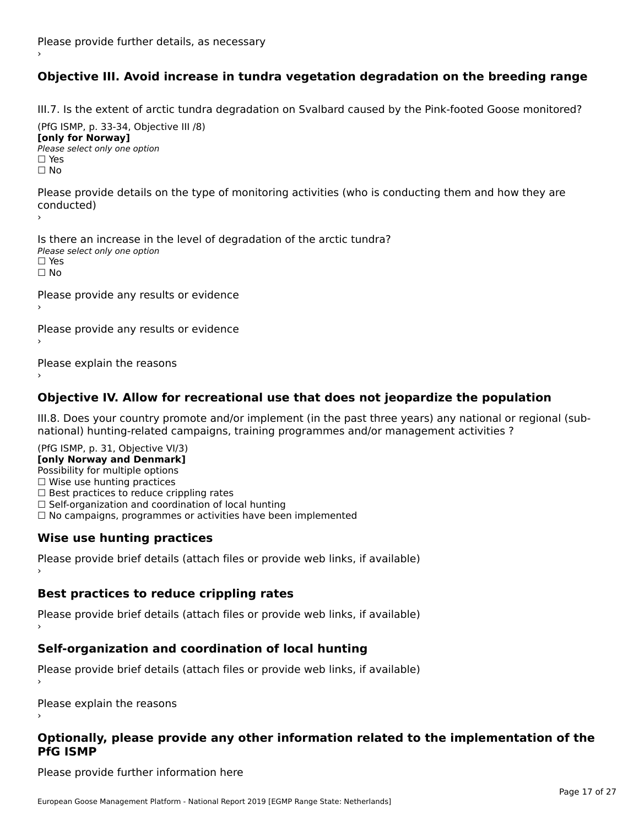# **Objective III. Avoid increase in tundra vegetation degradation on the breeding range**

III.7. Is the extent of arctic tundra degradation on Svalbard caused by the Pink-footed Goose monitored?

(PfG ISMP, p. 33-34, Objective III /8) **[only for Norway]** Please select only one optionriease<br>□ Yes  $\square$  Yes

Please provide details on the type of monitoring activities (who is conducting them and how they are ricase prov ›

```
Is there an increase in the level of degradation of the arctic tundra?
□ CICIC ON INCICOSE IN C<br>Please select only one option
□ Yes<br>□ No
```
Please provide any results or evidence

Please provide any results or evidence

Please explain the reasons›

## **Objective IV. Allow for recreational use that does not jeopardize the population**

III.8. Does your country promote and/or implement (in the past three years) any national or regional (subnational) hunting-related campaigns, training-relativities  $\alpha$  and  $\alpha$  and  $\alpha$  management activities ? national) hunting-related campaigns, training programmes and/or management activities ?

 $(DC \cup CMP, p. 31, 0$ bjective  $V1/3$ ) **[only Norway and Denmark]**

[only Norway and Denmark]

Possibility for multiple options ☐ Wise use hunting practices

 $\Box$  wise use numing practices<br> $\Box$  Best practices to reduce crippling rates

□ Best practices to reduce crippinig rates<br>□ Self-organization and coordination of local hunting

□ Sen-organization and coordination or local nunting<br>□ No campaigns, programmes or activities have been implemented

## **Wise use hunting practices**

Please provide brief details (attach files or provide web links, if available) ›

# **Best practices to reduce crippling rates**

Please provide brief details (attach files or provide web links, if available)

# **Self-organization and coordination of local hunting**

Please provide brief details (attach files or provide web links, if available)

Please explain the reasons

# **Optionally, please provide any other information related to the implementation of the PfG ISMP**

Please provide further information here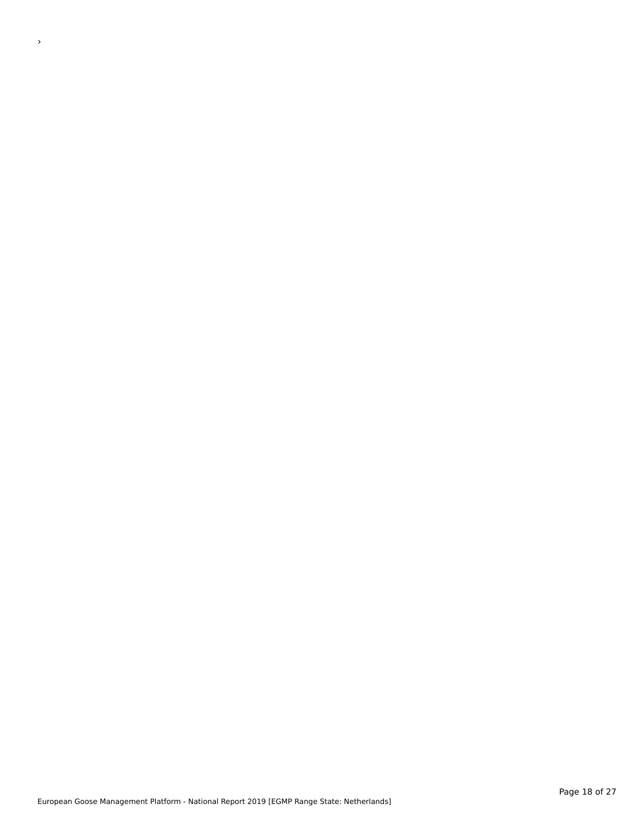European Goose Management Platform - National Report 2019 [EGMP Range State: Netherlands]

›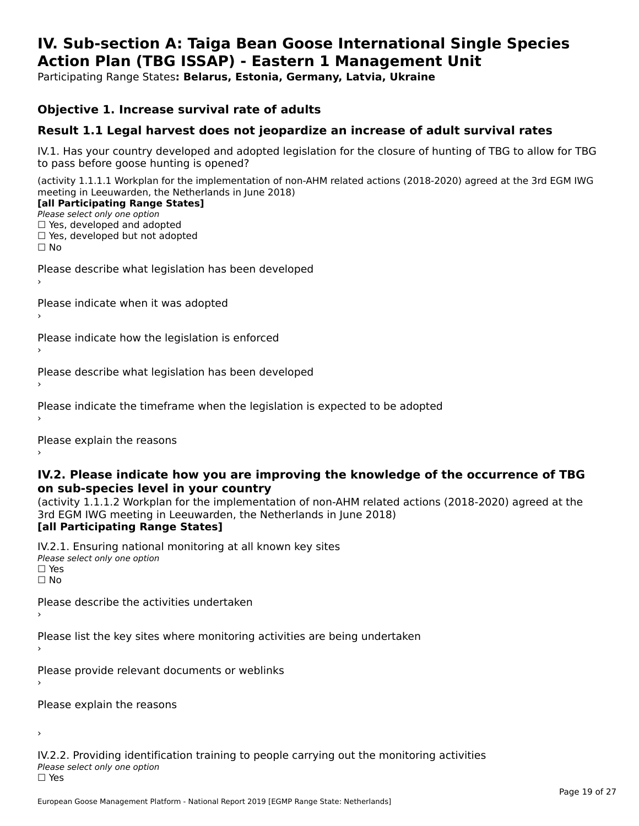#### **IV. Sub-section A: Taiga Bean Goose International Single Species Action Plan (TBG ISSAP) - Eastern 1 Management UnitAction Plan (TBG ISSAP) - Eastern 1 Management Unit**

Participating Range States**: Belarus, Estonia, Germany, Latvia, Ukraine** 

## **Objective 1. Increase survival rate of adults**

## **Result 1.1 Legal harvest does not jeopardize an increase of adult survival rates**

IV.1. Has your country developed and adopted legislation for the closure of hunting of TBG to allow for TBG IV.1. Thas your country developed and add<br>to pass before goose hunting is opened?

(activity 1.1.1.1 Workplan for the implementation of non-AHM related actions (2018-2020) agreed at the 3rd EGM IWG meeting in Leeuwarden, the Netherlands in June 2018) **[all Participating Range States]**

#### [all Participating Range States]

Please select only one option ☐ Yes, developed and adopted

☐ Yes, developed but not adopted

 $\Box$  ies, developed but not adopted

Please describe what legislation has been developed

Please indicate when it was adopted

Please indicate how the legislation is enforced

Please describe what legislation has been developed

Please indicate the timeframe when the legislation is expected to be adopted

Please explain the reasons

## **IV.2. Please indicate how you are improving the knowledge of the occurrence of TBG on sub-species level in your country**on sub-species level in your country

on sub-species fever in your country<br>(activity 1.1.1.2 Workplan for the implementation of non-AHM related actions (2018-2020) agreed at the **Brd EGM IWG meeting in Leeuwarden, the Netherlands in June 2018)** 

#### [all Participating Range States]

IV.2.1. Ensuring national monitoring at all known key sites <del>■ Western Chroning</del> Hational<br>Please select only one option  $\square$  Yes ☐ No

Please describe the activities undertaken

Please list the key sites where monitoring activities are being undertaken

Please provide relevant documents or weblinks

Please explain the reasons

›

IV.2.2. Providing identification training to people carrying out the monitoring activities <del>■ Western Fortung</del> Recrement<br>Please select only one option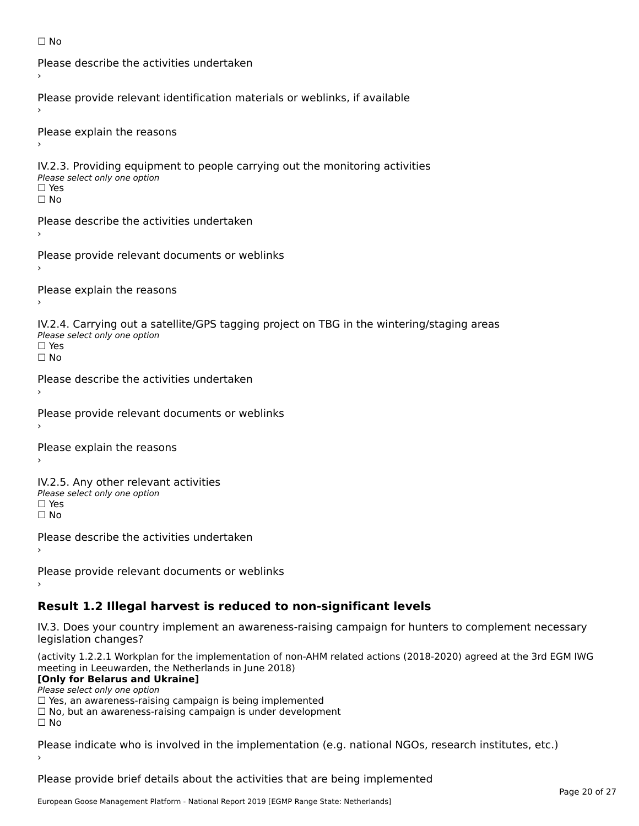```
☐ No
```

```
Please describe the activities undertaken›Please provide relevant identification materials or weblinks, if available
Please explain the reasons
IV.2.3. Providing equipment to people carrying out the monitoring activities
Please select only one option
☐ Yes□ Yes<br>□ No
Please describe the activities undertaken›Please provide relevant documents or weblinks
Please explain the reasons
IV.2.4. Carrying out a satellite/GPS tagging project on TBG in the wintering/staging areas
TV:∠:→: Carrying out a Se<br>Please select only one option
□ Yes<br>□ No
Please describe the activities undertaken›Please provide relevant documents or weblinks
Please explain the reasons
IV.2.5. Any other relevant activities
Please select only one option
☐ Yes□ Yes<br>□ No
Please describe the activities undertaken›Please provide relevant documents or weblinks
Result 1.2 Illegal harvest is reduced to non-significant levels
```
IV.3. Does your country implement an awareness-raising campaign for hunters to complement necessary rv.5. Does your court<br>legislation changes?

(activity 1.2.2.1 Workplan for the implementation of non-AHM related actions (2018-2020) agreed at the 3rd EGM IWG meeting in Leeuwarden, the Netherlands in June 2018)

## **[Only for Belarus and Ukraine]**

Please select only one option

riease select only one option<br>□ Yes, an awareness-raising campaign is being implemented

□ No, but an awareness-raising campaign is under development<br>□ N。

Please indicate who is involved in the implementation (e.g. national NGOs, research institutes, etc.)

Please provide brief details about the activities that are being implemented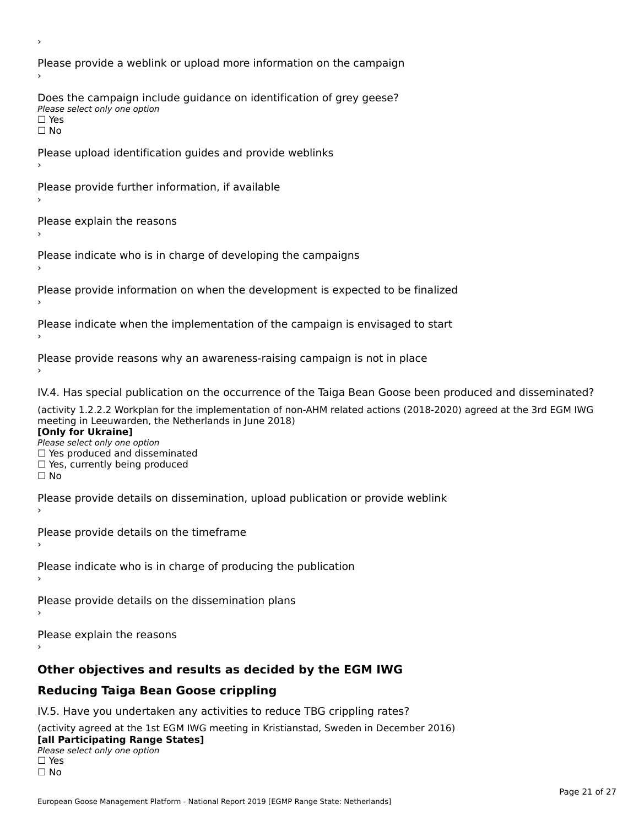Please provide a weblink or upload more information on the campaign Does the campaign include guidance on identification of grey geese? **DOCS THE CAMPATSH THE**<br>Please select only one option □ Yes<br>□ No Please upload identification guides and provide weblinks Please provide further information, if available Please explain the reasons Please indicate who is in charge of developing the campaigns Please provide information on when the development is expected to be finalized Please indicate when the implementation of the campaign is envisaged to start Please provide reasons why an awareness-raising campaign is not in place IV.4. Has special publication on the occurrence of the Taiga Bean Goose been produced and disseminated? (activity 1.2.2.2 Workplan for the implementation of non-AHM related actions (2018-2020) agreed at the 3rd EGM IWG **[Only for Ukraine] □ Yes produced and disseminated**<br>Please select only one option  $\Box$  ies produced and disseminated  $\Box$  ies, currently being produced Please provide details on dissemination, upload publication or provide weblink Please provide details on the timeframe Please indicate who is in charge of producing the publication Please provide details on the dissemination plans Please explain the reasons **Other objectives and results as decided by the EGM IWG Reducing Taiga Bean Goose crippling** IV.5. Have you undertaken any activities to reduce TBG crippling rates? (activity agreed at the 1st EGM IWG meeting in Kristianstad, Sweden in December 2016)

#### **[all Participating Range States]**[all Participating Range States]

**Law Tarticipating Range**<br>Please select only one option

□ Yes<br>□ No

›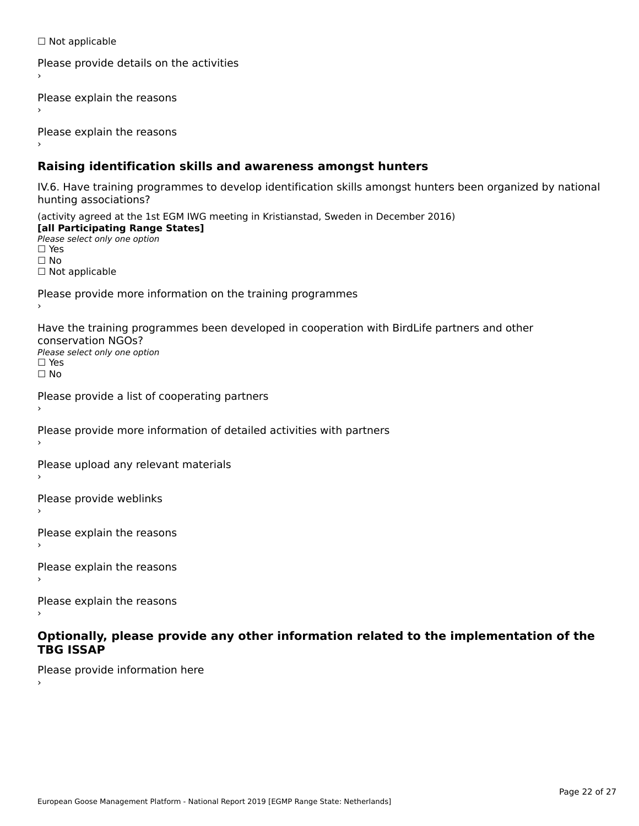☐ Not applicable

```
Please provide details on the activities
```
Please explain the reasons

Please explain the reasons

## **Raising identification skills and awareness amongst hunters**

IV.6. Have training programmes to develop identification skills amongst hunters been organized by national rv.o. riave training pro<br>hunting associations?

(activity agreed at the 1st EGM IWG meeting in Kristianstad, Sweden in December 2016) **[all Participating Range States]**[all Participating Range States] **Lan Tarticipating Range**<br>Please select only one option ☐ Yes☐ No□ Not applicable

Please provide more information on the training programmes

Have the training programmes been developed in cooperation with BirdLife partners and other conservation NGOs?Please select only one option☐ Yes☐ No

```
Please provide a list of cooperating partners
```
Please provide more information of detailed activities with partners

Please upload any relevant materials

Please provide weblinks

Please explain the reasons

Please explain the reasons›

Please explain the reasons

## **Optionally, please provide any other information related to the implementation of the TBG ISSAP**

Please provide information here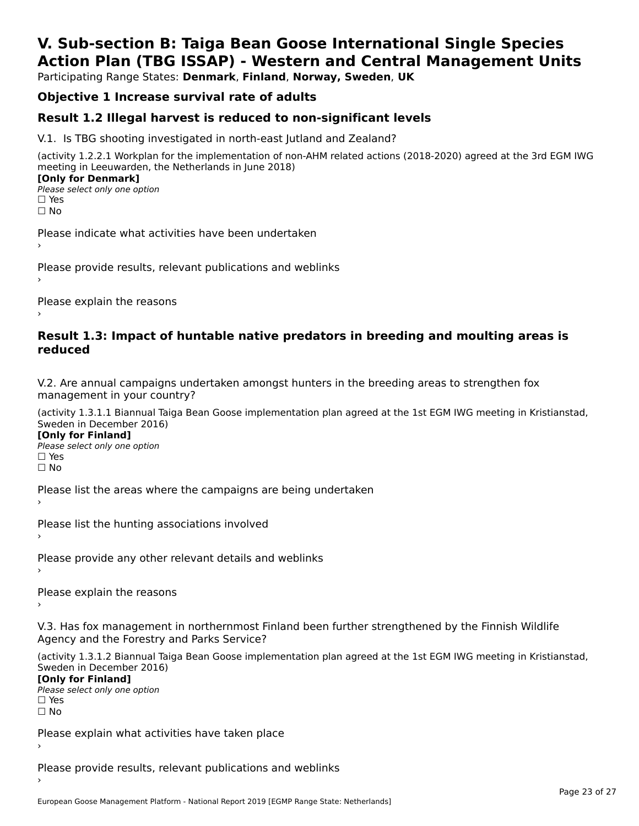# **V. Sub-section B: Taiga Bean Goose International Single SpeciesAction Plan (TBG ISSAP) - Western and Central Management Units**

Participating Range States: **Denmark**, **Finland**, **Norway, Sweden**, **UK**

# **Objective 1 Increase survival rate of adults**

## **Result 1.2 Illegal harvest is reduced to non-significant levels**

V.1. Is TBG shooting investigated in north-east Jutland and Zealand?

(activity 1.2.2.1 Workplan for the implementation of non-AHM related actions (2018-2020) agreed at the 3rd EGM IWG meeting in Leeuwarden, the Netherlands in June 2018) **[Only for Denmark] LOTTLY TOT DETITIONS**<br>Please select only one option

*riease*<br>□ Yes<br>□ No

Please indicate what activities have been undertaken›

Please provide results, relevant publications and weblinks ›

Please explain the reasons

## **Result 1.3: Impact of huntable native predators in breeding and moulting areas is reduced**

V.2. Are annual campaigns undertaken amongst hunters in the breeding areas to strengthen fox v.z. Are annual campaigns und<br>management in your country?

(activity 1.3.1.1 Biannual Taiga Bean Goose implementation plan agreed at the 1st EGM IWG meeting in Kristianstad, Sweden in December 2016)

**[Only for Finland]** Please select only one optionriease<br>□ Yes □ Yes<br>□ No

Please list the areas where the campaigns are being undertaken

Please list the hunting associations involved

Please provide any other relevant details and weblinks ›

Please explain the reasons›

V.3. Has fox management in northernmost Finland been further strengthened by the Finnish Wildlife v.5. Has fox management in northernmost F<br>Agency and the Forestry and Parks Service?

(activity 1.3.1.2 Biannual Taiga Bean Goose implementation plan agreed at the 1st EGM IWG meeting in Kristianstad, Sweden in December 2016) Sweden in December 2016)

[Only for Finland]

**Please select only one option** □ Yes<br>□ No

Please explain what activities have taken place

Please provide results, relevant publications and weblinks ›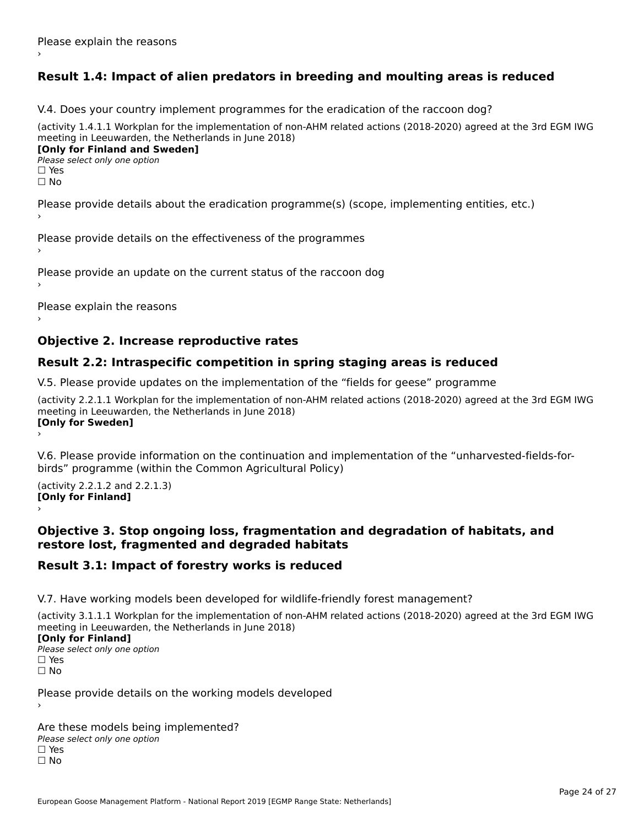# **Result 1.4: Impact of alien predators in breeding and moulting areas is reduced**

V.4. Does your country implement programmes for the eradication of the raccoon dog?

(activity 1.4.1.1 Workplan for the implementation of non-AHM related actions (2018-2020) agreed at the 3rd EGM IWG meeting in Leeuwarden, the Netherlands in June 2018) **[Only for Finland and Sweden]**

**Please select only one option** 

□ Yes<br>□ No

Please provide details about the eradication programme(s) (scope, implementing entities, etc.)

Please provide details on the effectiveness of the programmes

Please provide an update on the current status of the raccoon dog

Please explain the reasons

## **Objective 2. Increase reproductive rates**

## **Result 2.2: Intraspecific competition in spring staging areas is reduced**

V.5. Please provide updates on the implementation of the "fields for geese" programme

(activity 2.2.1.1 Workplan for the implementation of non-AHM related actions (2018-2020) agreed at the 3rd EGM IWG meeting in Leeuwarden, the Netherlands in June 2018) **[Only for Sweden]**Loury for Swedent

V.6. Please provide information on the continuation and implementation of the "unharvested-fields-forbirds" programme (within the Common Agricultural Policy)birds" programme (within the Common Agricultural Policy)

(activity 2.2.1.2 and 2.2.1.3) **[Only for Finland]** ›

## **Objective 3. Stop ongoing loss, fragmentation and degradation of habitats, and restore lost, fragmented and degraded habitats**

## **Result 3.1: Impact of forestry works is reduced**

V.7. Have working models been developed for wildlife-friendly forest management?

(activity 3.1.1.1 Workplan for the implementation of non-AHM related actions (2018-2020) agreed at the 3rd EGM IWG meeting in Leeuwarden, the Netherlands in June 2018)

## **[Only for Finland]**

**Please select only one option** □ Yes<br>□ No

Please provide details on the working models developed

Are these models being implemented? ∩ne enese moders being<br>Please select only one option □ Yes<br>□ No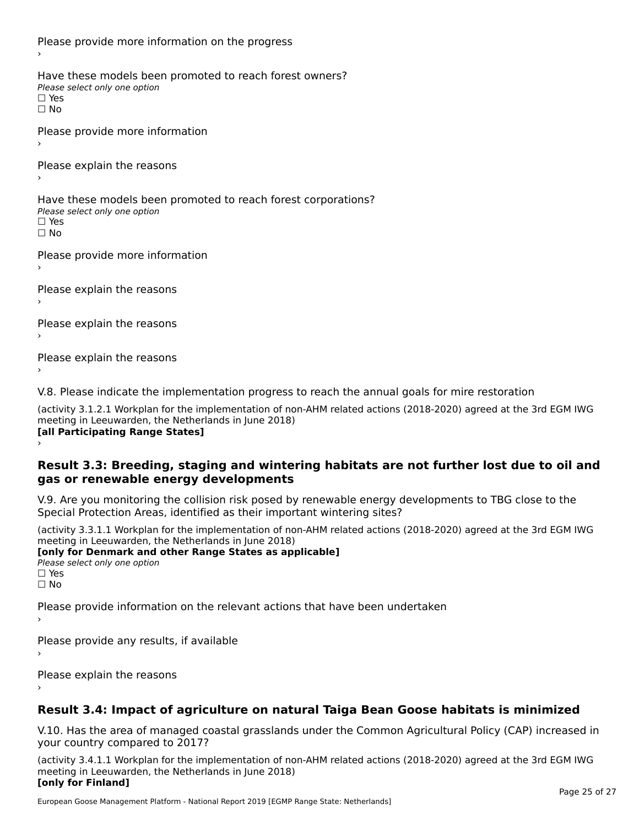Please provide more information on the progress Have these models been promoted to reach forest owners? ∩ave these models bee<br>Please select only one option □ Yes<br>□ No Please provide more information Please explain the reasons ›Have these models been promoted to reach forest corporations? ∩ave these models bee<br>Please select only one option □ Yes<br>□ No Please provide more information Please explain the reasons ›Please explain the reasons›Please explain the reasons›

V.8. Please indicate the implementation progress to reach the annual goals for mire restoration

(activity 3.1.2.1 Workplan for the implementation of non-AHM related actions (2018-2020) agreed at the 3rd EGM IWG meeting in Leeuwarden, the Netherlands in June 2018) **[all Participating Range States]** ›

**Result 3.3: Breeding, staging and wintering habitats are not further lost due to oil and gas or renewable energy developments**gas or renewable energy developments

V.9. Are you monitoring the collision risk posed by renewable energy developments to TBG close to the Special Protection Areas, identified as their important wintering sites?

(activity 3.3.1.1 Workplan for the implementation of non-AHM related actions (2018-2020) agreed at the 3rd EGM IWG meeting in Leeuwarden, the Netherlands in June 2018) **[only for Denmark and other Range States as applicable]**

```
Please select only one option
□ Yes<br>□ No
```
Please provide information on the relevant actions that have been undertaken ›

Please provide any results, if available

Please explain the reasons

# **Result 3.4: Impact of agriculture on natural Taiga Bean Goose habitats is minimized**

V.10. Has the area of managed coastal grasslands under the Common Agricultural Policy (CAP) increased in

(activity 3.4.1.1 Workplan for the implementation of non-AHM related actions (2018-2020) agreed at the 3rd EGM IWG meeting in Leeuwarden, the Netherlands in June 2018) **[only for Finland]**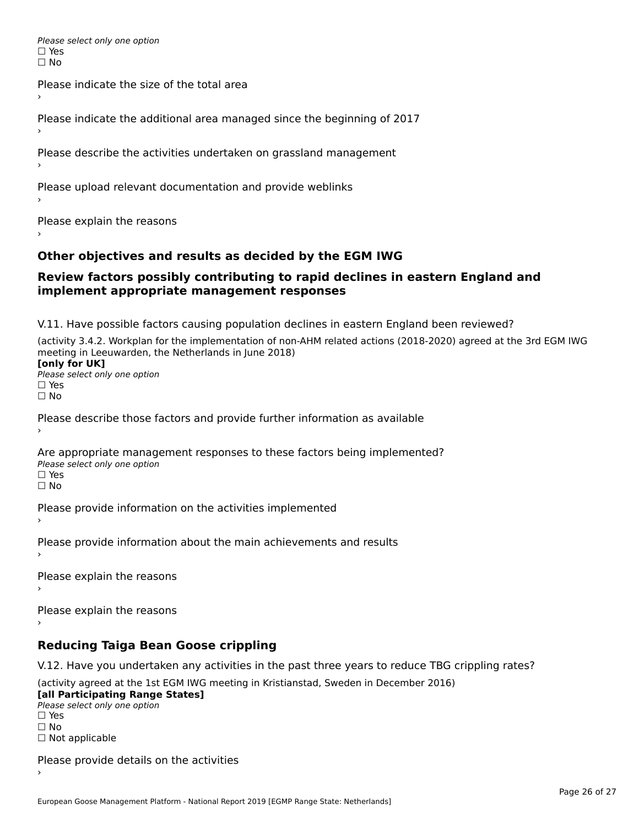Please select only one option □ Yes<br>□ No

Please indicate the size of the total area›

Please indicate the additional area managed since the beginning of 2017

Please describe the activities undertaken on grassland management

Please upload relevant documentation and provide weblinks

Please explain the reasons

## **Other objectives and results as decided by the EGM IWG**

## **Review factors possibly contributing to rapid declines in eastern England and implement appropriate management responses**implement appropriate management responses

V.11. Have possible factors causing population declines in eastern England been reviewed?

(activity 3.4.2. Workplan for the implementation of non-AHM related actions (2018-2020) agreed at the 3rd EGM IWG meeting in Leeuwarden, the Netherlands in June 2018)<br>**[only for UK]** 

**∐omy for OR**<br>Please select only one option □ Yes<br>□ No

Please describe those factors and provide further information as available

Are appropriate management responses to these factors being implemented? Please select only one option ים<br>⊡ No

Please provide information on the activities implemented

Please provide information about the main achievements and results›

Please explain the reasons

Please explain the reasons

**Reducing Taiga Bean Goose crippling**

V.12. Have you undertaken any activities in the past three years to reduce TBG crippling rates?

(activity agreed at the 1st EGM IWG meeting in Kristianstad, Sweden in December 2016) **[all Participating Range States]**

[all Participating Range States] Please select only one option☐ Yesים<br>⊡ No □ Not applicable

Please provide details on the activities